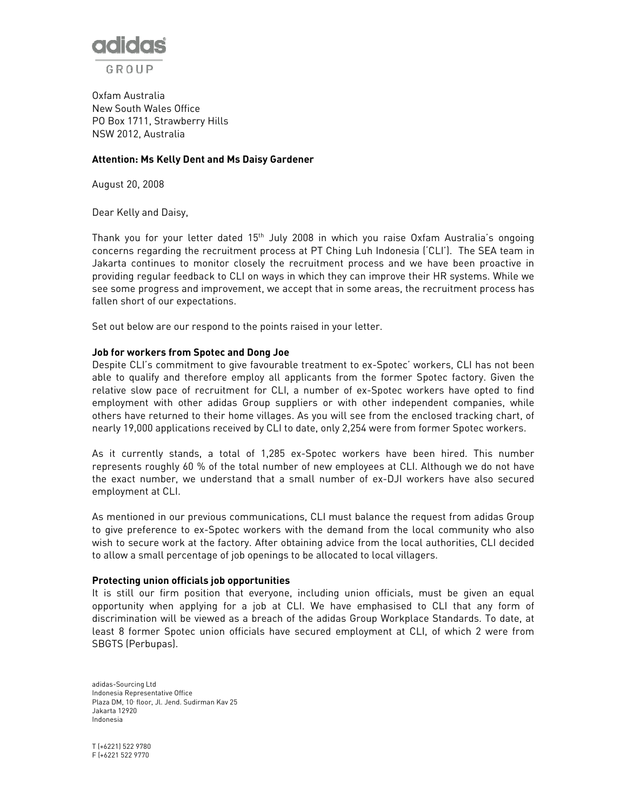

Oxfam Australia New South Wales Office PO Box 1711, Strawberry Hills NSW 2012, Australia

## Attention: Ms Kelly Dent and Ms Daisy Gardener

August 20, 2008

Dear Kelly and Daisy,

Thank you for your letter dated 15th July 2008 in which you raise Oxfam Australia's ongoing concerns regarding the recruitment process at PT Ching Luh Indonesia ('CLI'). The SEA team in Jakarta continues to monitor closely the recruitment process and we have been proactive in providing regular feedback to CLI on ways in which they can improve their HR systems. While we see some progress and improvement, we accept that in some areas, the recruitment process has fallen short of our expectations.

Set out below are our respond to the points raised in your letter.

## Job for workers from Spotec and Dong Joe

Despite CLI's commitment to give favourable treatment to ex-Spotec' workers, CLI has not been able to qualify and therefore employ all applicants from the former Spotec factory. Given the relative slow pace of recruitment for CLI, a number of ex-Spotec workers have opted to find employment with other adidas Group suppliers or with other independent companies, while others have returned to their home villages. As you will see from the enclosed tracking chart, of nearly 19,000 applications received by CLI to date, only 2,254 were from former Spotec workers.

As it currently stands, a total of 1,285 ex-Spotec workers have been hired. This number represents roughly 60 % of the total number of new employees at CLI. Although we do not have the exact number, we understand that a small number of ex-DJI workers have also secured employment at CLI.

As mentioned in our previous communications, CLI must balance the request from adidas Group to give preference to ex-Spotec workers with the demand from the local community who also wish to secure work at the factory. After obtaining advice from the local authorities, CLI decided to allow a small percentage of job openings to be allocated to local villagers.

## Protecting union officials job opportunities

It is still our firm position that everyone, including union officials, must be given an equal opportunity when applying for a job at CLI. We have emphasised to CLI that any form of discrimination will be viewed as a breach of the adidas Group Workplace Standards. To date, at least 8 former Spotec union officials have secured employment at CLI, of which 2 were from SBGTS (Perbupas).

adidas-Sourcing Ltd Indonesia Representative Office Plaza DM, 10<sup>t</sup> floor, Jl. Jend. Sudirman Kav 25 Jakarta 12920 Indonesia

T (+6221) 522 9780 F (+6221 522 9770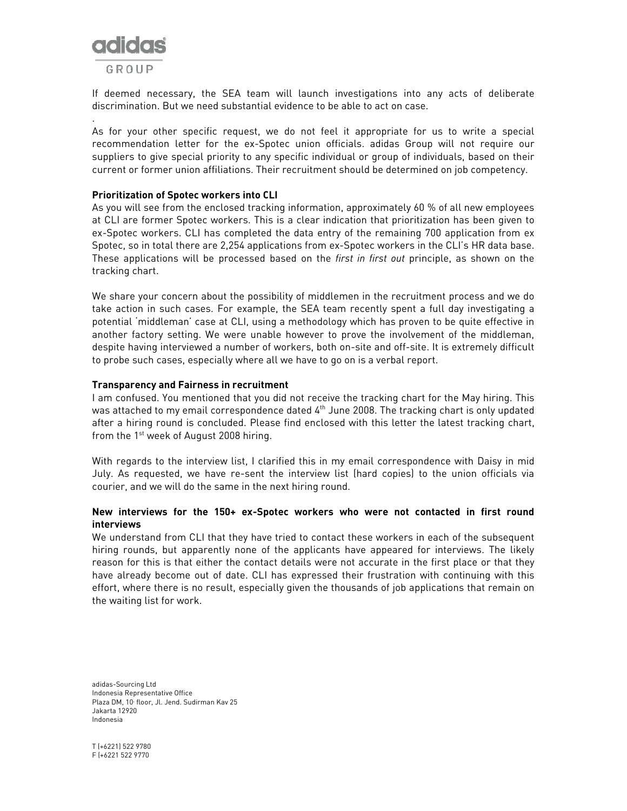

.

If deemed necessary, the SEA team will launch investigations into any acts of deliberate discrimination. But we need substantial evidence to be able to act on case.

As for your other specific request, we do not feel it appropriate for us to write a special recommendation letter for the ex-Spotec union officials. adidas Group will not require our suppliers to give special priority to any specific individual or group of individuals, based on their current or former union affiliations. Their recruitment should be determined on job competency.

## Prioritization of Spotec workers into CLI

As you will see from the enclosed tracking information, approximately 60 % of all new employees at CLI are former Spotec workers. This is a clear indication that prioritization has been given to ex-Spotec workers. CLI has completed the data entry of the remaining 700 application from ex Spotec, so in total there are 2,254 applications from ex-Spotec workers in the CLI's HR data base. These applications will be processed based on the first in first out principle, as shown on the tracking chart.

We share your concern about the possibility of middlemen in the recruitment process and we do take action in such cases. For example, the SEA team recently spent a full day investigating a potential 'middleman' case at CLI, using a methodology which has proven to be quite effective in another factory setting. We were unable however to prove the involvement of the middleman, despite having interviewed a number of workers, both on-site and off-site. It is extremely difficult to probe such cases, especially where all we have to go on is a verbal report.

# Transparency and Fairness in recruitment

I am confused. You mentioned that you did not receive the tracking chart for the May hiring. This was attached to my email correspondence dated  $4^{\text{th}}$  June 2008. The tracking chart is only updated after a hiring round is concluded. Please find enclosed with this letter the latest tracking chart, from the 1<sup>st</sup> week of August 2008 hiring.

With regards to the interview list, I clarified this in my email correspondence with Daisy in mid July. As requested, we have re-sent the interview list (hard copies) to the union officials via courier, and we will do the same in the next hiring round.

# New interviews for the 150+ ex-Spotec workers who were not contacted in first round interviews

We understand from CLI that they have tried to contact these workers in each of the subsequent hiring rounds, but apparently none of the applicants have appeared for interviews. The likely reason for this is that either the contact details were not accurate in the first place or that they have already become out of date. CLI has expressed their frustration with continuing with this effort, where there is no result, especially given the thousands of job applications that remain on the waiting list for work.

adidas-Sourcing Ltd Indonesia Representative Office Plaza DM, 10<sup>t</sup> floor, Jl. Jend. Sudirman Kav 25 Jakarta 12920 Indonesia

T (+6221) 522 9780 F (+6221 522 9770